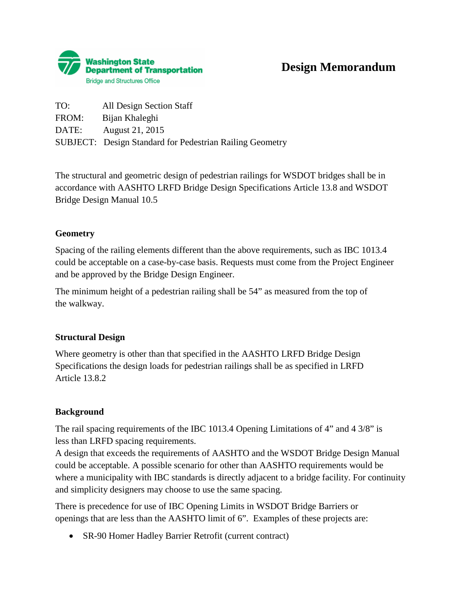

| TO:   | All Design Section Staff                                        |
|-------|-----------------------------------------------------------------|
| FROM: | Bijan Khaleghi                                                  |
| DATE: | August 21, 2015                                                 |
|       | <b>SUBJECT:</b> Design Standard for Pedestrian Railing Geometry |

The structural and geometric design of pedestrian railings for WSDOT bridges shall be in accordance with AASHTO LRFD Bridge Design Specifications Article 13.8 and WSDOT Bridge Design Manual 10.5

## **Geometry**

Spacing of the railing elements different than the above requirements, such as IBC 1013.4 could be acceptable on a case-by-case basis. Requests must come from the Project Engineer and be approved by the Bridge Design Engineer.

The minimum height of a pedestrian railing shall be 54" as measured from the top of the walkway.

## **Structural Design**

Where geometry is other than that specified in the AASHTO LRFD Bridge Design Specifications the design loads for pedestrian railings shall be as specified in LRFD Article 13.8.2

## **Background**

The rail spacing requirements of the IBC 1013.4 Opening Limitations of 4" and 4 3/8" is less than LRFD spacing requirements.

A design that exceeds the requirements of AASHTO and the WSDOT Bridge Design Manual could be acceptable. A possible scenario for other than AASHTO requirements would be where a municipality with IBC standards is directly adjacent to a bridge facility. For continuity and simplicity designers may choose to use the same spacing.

There is precedence for use of IBC Opening Limits in WSDOT Bridge Barriers or openings that are less than the AASHTO limit of 6". Examples of these projects are:

• SR-90 Homer Hadley Barrier Retrofit (current contract)